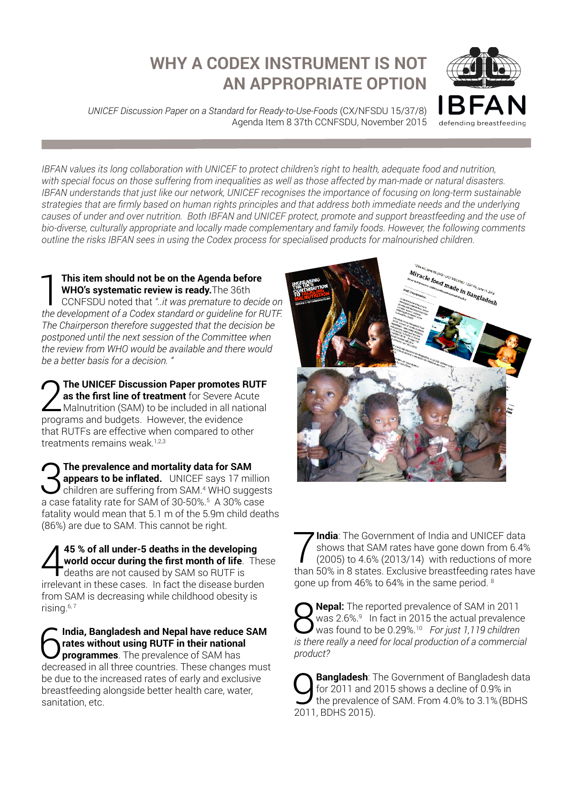## **WHY A CODEX INSTRUMENT IS NOT AN APPROPRIATE OPTION**

*UNICEF Discussion Paper on a Standard for Ready-to-Use-Foods* (CX/NFSDU 15/37/8) Agenda Item 8 37th CCNFSDU, November 2015



*IBFAN values its long collaboration with UNICEF to protect children's right to health, adequate food and nutrition,*  with special focus on those suffering from inequalities as well as those affected by man-made or natural disasters. *IBFAN understands that just like our network, UNICEF recognises the importance of focusing on long-term sustainable strategies that are firmly based on human rights principles and that address both immediate needs and the underlying causes of under and over nutrition. Both IBFAN and UNICEF protect, promote and support breastfeeding and the use of bio-diverse, culturally appropriate and locally made complementary and family foods. However, the following comments outline the risks IBFAN sees in using the Codex process for specialised products for malnourished children.*

**1 This item should not be on the Agenda before<br>WHO's systematic review is ready.** The 36th<br>CCNFSDU noted that "...it was premature to decid<br>the development of a Codex standard or quideline for B **WHO's systematic review is ready.**The 36th CCNFSDU noted that *"..it was premature to decide on the development of a Codex standard or guideline for RUTF. The Chairperson therefore suggested that the decision be postponed until the next session of the Committee when the review from WHO would be available and there would be a better basis for a decision. "* 

**2** The UNICEF Discussion Paper promotes RUTF as the first line of treatment for Severe Acute Malnutrition (SAM) to be included in all national programs and budgets. However the evidence **as the first line of treatment** for Severe Acute programs and budgets. However, the evidence that RUTFs are effective when compared to other treatments remains weak.<sup>1,2,3</sup>

3**The prevalence and mortality data for SAM appears to be inflated.** UNICEF says 17 million children are suffering from SAM.4 WHO suggests a case fatality rate for SAM of 30-50%.5 A 30% case fatality would mean that 5.1 m of the 5.9m child deaths (86%) are due to SAM. This cannot be right.

**45 % of all under-5 deaths in the developing<br>world occur during the first month of life.** The<br>deaths are not caused by SAM so RUTF is<br>irrolevent in these cases. In fect the disease burde **world occur during the first month of life**. These deaths are not caused by SAM so RUTF is irrelevant in these cases. In fact the disease burden from SAM is decreasing while childhood obesity is rising.<sup>6, 7</sup>

6**India, Bangladesh and Nepal have reduce SAM rates without using RUTF in their national programmes**. The prevalence of SAM has decreased in all three countries. These changes must be due to the increased rates of early and exclusive breastfeeding alongside better health care, water, sanitation, etc.



**7 India**: The Government of India and UNICEF data<br>
shows that SAM rates have gone down from 6.4%<br>
(2005) to 4.6% (2013/14) with reductions of more<br>
than 50% in 8 states. Exclusive breastfeading rates have shows that SAM rates have gone down from 6.4% than 50% in 8 states. Exclusive breastfeeding rates have gone up from 46% to 64% in the same period. 8

**8 Nepal:** The reported prevalence of SAM in 2011<br>Was 2.6%.<sup>9</sup> In fact in 2015 the actual prevalence<br>is there really a need for local production of a commercial was 2.6%.<sup>9</sup> In fact in 2015 the actual prevalence *is there really a need for local production of a commercial product?* 

| <b>Sangladesh</b> : The Government of Bangladesh data<br>for 2011 and 2015 shows a decline of 0.9% in<br>the prevalence of SAM. From 4.0% to 3.1% (BDHS |
|---------------------------------------------------------------------------------------------------------------------------------------------------------|
|                                                                                                                                                         |
| 2011, BDHS 2015).                                                                                                                                       |